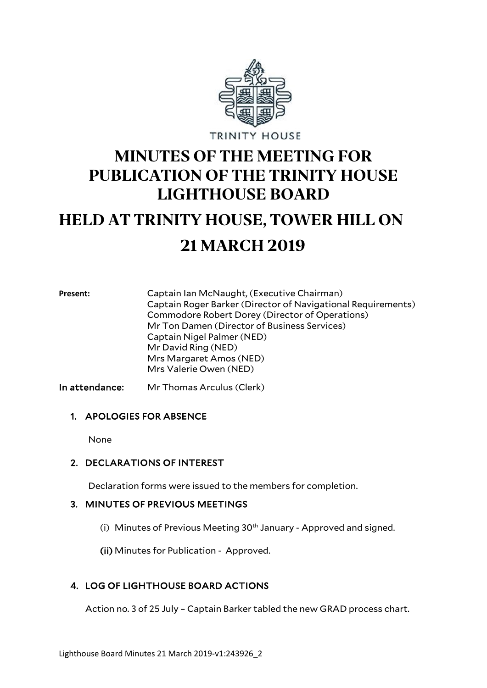

# **MINUTES OF THE MEETING FOR PUBLICATION OF THE TRINITY HOUSE LIGHTHOUSE BOARD**

# **HELD AT TRINITY HOUSE, TOWER HILL ON 21 MARCH 2019**

**Present:** Captain Ian McNaught, (Executive Chairman) Captain Roger Barker (Director of Navigational Requirements) Commodore Robert Dorey (Director of Operations) Mr Ton Damen (Director of Business Services) Captain Nigel Palmer (NED) Mr David Ring (NED) Mrs Margaret Amos (NED) Mrs Valerie Owen (NED)

In attendance: Mr Thomas Arculus (Clerk)

#### 1. APOLOGIES FOR ABSENCE

None

# 2. DECLARATIONS OF INTEREST

Declaration forms were issued to the members for completion.

#### 3. MINUTES OF PREVIOUS MEETINGS

(i) Minutes of Previous Meeting  $30<sup>th</sup>$  January - Approved and signed.

(ii) Minutes for Publication - Approved.

# 4. LOG OF LIGHTHOUSE BOARD ACTIONS

Action no. 3 of 25 July – Captain Barker tabled the new GRAD process chart.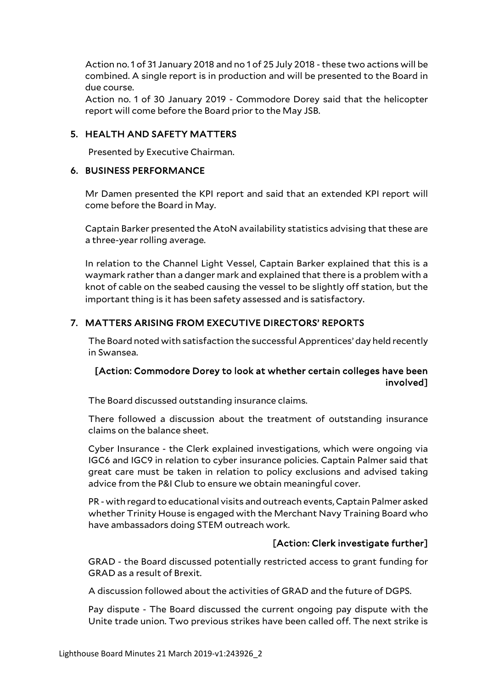Action no. 1 of 31 January 2018 and no 1 of 25 July 2018 - these two actions will be combined. A single report is in production and will be presented to the Board in due course.

Action no. 1 of 30 January 2019 - Commodore Dorey said that the helicopter report will come before the Board prior to the May JSB.

#### 5. HEALTH AND SAFETY MATTERS

Presented by Executive Chairman.

#### 6. BUSINESS PERFORMANCE

Mr Damen presented the KPI report and said that an extended KPI report will come before the Board in May.

Captain Barker presented the AtoN availability statistics advising that these are a three-year rolling average.

In relation to the Channel Light Vessel, Captain Barker explained that this is a waymark rather than a danger mark and explained that there is a problem with a knot of cable on the seabed causing the vessel to be slightly off station, but the important thing is it has been safety assessed and is satisfactory.

## 7. MATTERS ARISING FROM EXECUTIVE DIRECTORS' REPORTS

The Board noted with satisfaction the successful Apprentices' day held recently in Swansea.

# [Action: Commodore Dorey to look at whether certain colleges have been involved]

The Board discussed outstanding insurance claims.

There followed a discussion about the treatment of outstanding insurance claims on the balance sheet.

Cyber Insurance - the Clerk explained investigations, which were ongoing via IGC6 and IGC9 in relation to cyber insurance policies. Captain Palmer said that great care must be taken in relation to policy exclusions and advised taking advice from the P&I Club to ensure we obtain meaningful cover.

PR - with regard to educational visits and outreach events, Captain Palmer asked whether Trinity House is engaged with the Merchant Navy Training Board who have ambassadors doing STEM outreach work.

#### [Action: Clerk investigate further]

GRAD - the Board discussed potentially restricted access to grant funding for GRAD as a result of Brexit.

A discussion followed about the activities of GRAD and the future of DGPS.

Pay dispute - The Board discussed the current ongoing pay dispute with the Unite trade union. Two previous strikes have been called off. The next strike is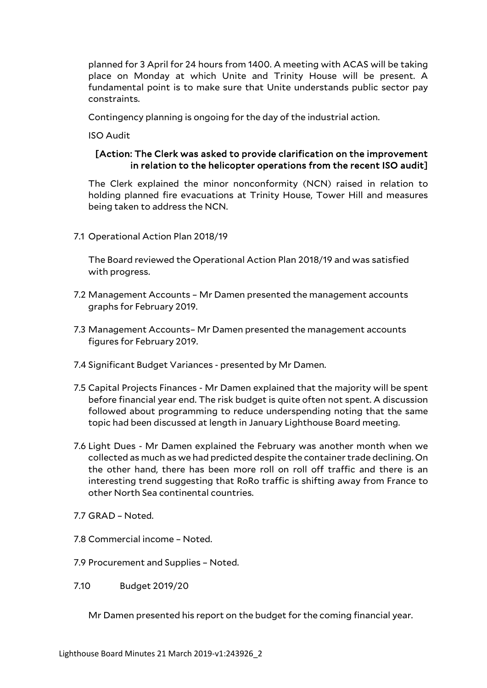planned for 3 April for 24 hours from 1400. A meeting with ACAS will be taking place on Monday at which Unite and Trinity House will be present. A fundamental point is to make sure that Unite understands public sector pay constraints.

Contingency planning is ongoing for the day of the industrial action.

ISO Audit

#### [Action: The Clerk was asked to provide clarification on the improvement in relation to the helicopter operations from the recent ISO audit]

The Clerk explained the minor nonconformity (NCN) raised in relation to holding planned fire evacuations at Trinity House, Tower Hill and measures being taken to address the NCN.

7.1 Operational Action Plan 2018/19

The Board reviewed the Operational Action Plan 2018/19 and was satisfied with progress.

- 7.2 Management Accounts Mr Damen presented the management accounts graphs for February 2019.
- 7.3 Management Accounts– Mr Damen presented the management accounts figures for February 2019.
- 7.4 Significant Budget Variances presented by Mr Damen.
- 7.5 Capital Projects Finances Mr Damen explained that the majority will be spent before financial year end. The risk budget is quite often not spent. A discussion followed about programming to reduce underspending noting that the same topic had been discussed at length in January Lighthouse Board meeting.
- 7.6 Light Dues Mr Damen explained the February was another month when we collected as much as we had predicted despite the container trade declining. On the other hand, there has been more roll on roll off traffic and there is an interesting trend suggesting that RoRo traffic is shifting away from France to other North Sea continental countries.
- 7.7 GRAD Noted.
- 7.8 Commercial income Noted.
- 7.9 Procurement and Supplies Noted.
- 7.10 Budget 2019/20
	- Mr Damen presented his report on the budget for the coming financial year.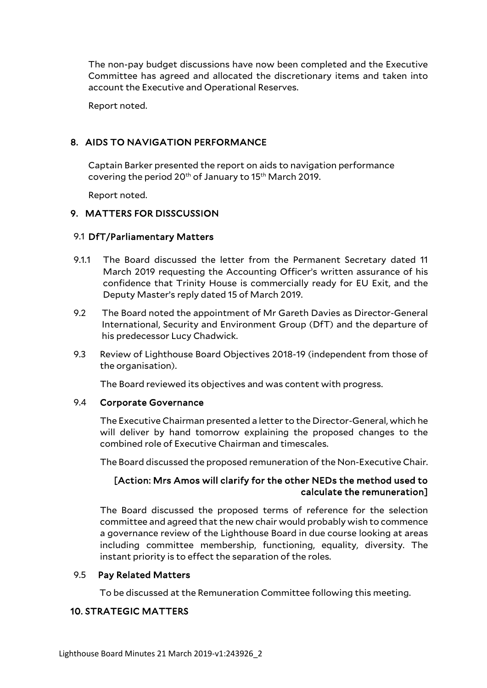The non-pay budget discussions have now been completed and the Executive Committee has agreed and allocated the discretionary items and taken into account the Executive and Operational Reserves.

Report noted.

# 8. AIDS TO NAVIGATION PERFORMANCE

Captain Barker presented the report on aids to navigation performance covering the period 20th of January to 15th March 2019.

Report noted.

#### 9. MATTERS FOR DISSCUSSION

#### 9.1 DfT/Parliamentary Matters

- 9.1.1 The Board discussed the letter from the Permanent Secretary dated 11 March 2019 requesting the Accounting Officer's written assurance of his confidence that Trinity House is commercially ready for EU Exit, and the Deputy Master's reply dated 15 of March 2019.
- 9.2 The Board noted the appointment of Mr Gareth Davies as Director-General International, Security and Environment Group (DfT) and the departure of his predecessor Lucy Chadwick.
- 9.3 Review of Lighthouse Board Objectives 2018-19 (independent from those of the organisation).

The Board reviewed its objectives and was content with progress.

#### 9.4 Corporate Governance

The Executive Chairman presented a letter to the Director-General, which he will deliver by hand tomorrow explaining the proposed changes to the combined role of Executive Chairman and timescales.

The Board discussed the proposed remuneration of the Non-Executive Chair.

## [Action: Mrs Amos will clarify for the other NEDs the method used to calculate the remuneration]

The Board discussed the proposed terms of reference for the selection committee and agreed that the new chair would probably wish to commence a governance review of the Lighthouse Board in due course looking at areas including committee membership, functioning, equality, diversity. The instant priority is to effect the separation of the roles.

#### 9.5 Pay Related Matters

To be discussed at the Remuneration Committee following this meeting.

# 10. STRATEGIC MATTERS